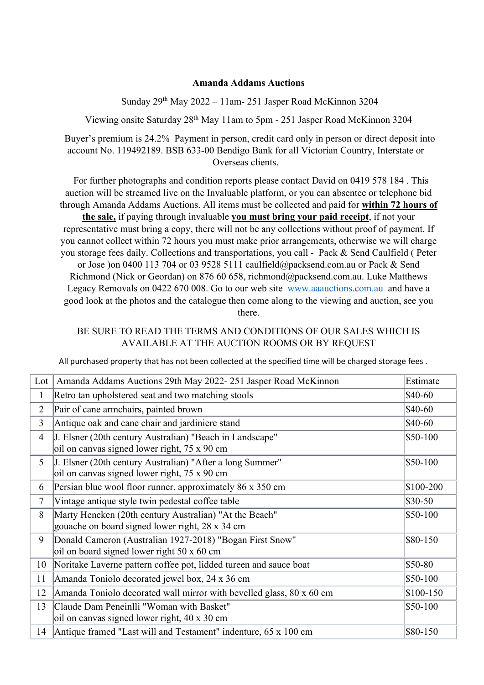## **Amanda Addams Auctions**

Sunday 29th May 2022 – 11am- 251 Jasper Road McKinnon 3204

Viewing onsite Saturday 28th May 11am to 5pm - 251 Jasper Road McKinnon 3204

Buyer's premium is 24.2% Payment in person, credit card only in person or direct deposit into account No. 119492189. BSB 633-00 Bendigo Bank for all Victorian Country, Interstate or Overseas clients.

 For further photographs and condition reports please contact David on 0419 578 184 . This auction will be streamed live on the Invaluable platform, or you can absentee or telephone bid through Amanda Addams Auctions. All items must be collected and paid for **within 72 hours of the sale,** if paying through invaluable **you must bring your paid receipt**, if not your representative must bring a copy, there will not be any collections without proof of payment. If you cannot collect within 72 hours you must make prior arrangements, otherwise we will charge you storage fees daily. Collections and transportations, you call - Pack & Send Caulfield ( Peter or Jose )on 0400 113 704 or 03 9528 5111 caulfield@packsend.com.au or Pack & Send Richmond (Nick or Geordan) on 876 60 658, richmond@packsend.com.au. Luke Matthews Legacy Removals on 0422 670 008. Go to our web site www.aaauctions.com.au and have a good look at the photos and the catalogue then come along to the viewing and auction, see you there.

## BE SURE TO READ THE TERMS AND CONDITIONS OF OUR SALES WHICH IS AVAILABLE AT THE AUCTION ROOMS OR BY REQUEST

All purchased property that has not been collected at the specified time will be charged storage fees .

| Lot            | Amanda Addams Auctions 29th May 2022-251 Jasper Road McKinnon                                             | Estimate   |
|----------------|-----------------------------------------------------------------------------------------------------------|------------|
| 1              | Retro tan upholstered seat and two matching stools                                                        | \$40-60    |
| $\overline{2}$ | Pair of cane armchairs, painted brown                                                                     | $$40-60$   |
| $\overline{3}$ | Antique oak and cane chair and jardiniere stand                                                           | $$40-60$   |
| $\overline{4}$ | J. Elsner (20th century Australian) "Beach in Landscape"<br>oil on canvas signed lower right, 75 x 90 cm  | $$50-100$  |
| 5              | J. Elsner (20th century Australian) "After a long Summer"<br>oil on canvas signed lower right, 75 x 90 cm | $$50-100$  |
| 6              | Persian blue wool floor runner, approximately 86 x 350 cm                                                 | \$100-200  |
| 7              | Vintage antique style twin pedestal coffee table                                                          | $$30-50$   |
| 8              | Marty Heneken (20th century Australian) "At the Beach"<br>gouache on board signed lower right, 28 x 34 cm | $$50-100$  |
| 9              | Donald Cameron (Australian 1927-2018) "Bogan First Snow"<br>oil on board signed lower right 50 x 60 cm    | \$80-150   |
| 10             | Noritake Laverne pattern coffee pot, lidded tureen and sauce boat                                         | \$50-80    |
| 11             | Amanda Toniolo decorated jewel box, 24 x 36 cm                                                            | \$50-100   |
| 12             | Amanda Toniolo decorated wall mirror with bevelled glass, 80 x 60 cm                                      | $$100-150$ |
| 13             | Claude Dam Peneinlli "Woman with Basket"<br>oil on canvas signed lower right, 40 x 30 cm                  | $$50-100$  |
| 14             | Antique framed "Last will and Testament" indenture, $65 \times 100$ cm                                    | \$80-150   |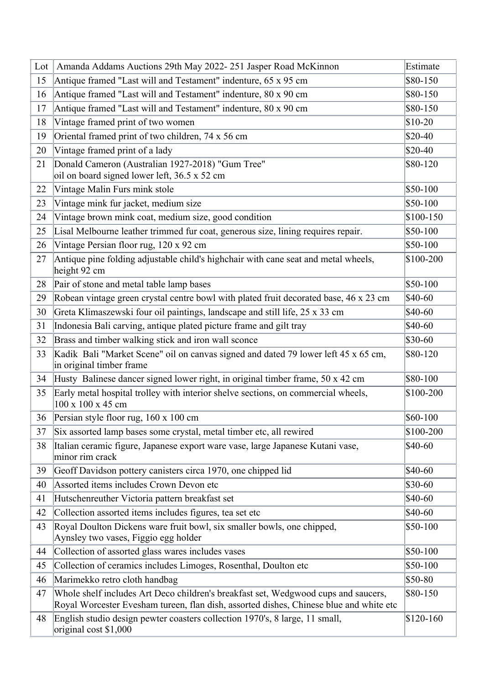| Lot $\ $ | Amanda Addams Auctions 29th May 2022-251 Jasper Road McKinnon                                                                                                                | Estimate   |
|----------|------------------------------------------------------------------------------------------------------------------------------------------------------------------------------|------------|
| 15       | Antique framed "Last will and Testament" indenture, 65 x 95 cm                                                                                                               | \$80-150   |
| 16       | Antique framed "Last will and Testament" indenture, 80 x 90 cm                                                                                                               | \$80-150   |
| 17       | Antique framed "Last will and Testament" indenture, 80 x 90 cm                                                                                                               | \$80-150   |
| 18       | Vintage framed print of two women                                                                                                                                            | $$10-20$   |
| 19       | Oriental framed print of two children, 74 x 56 cm                                                                                                                            | $$20-40$   |
| 20       | Vintage framed print of a lady                                                                                                                                               | $$20-40$   |
| 21       | Donald Cameron (Australian 1927-2018) "Gum Tree"                                                                                                                             | \$80-120   |
|          | oil on board signed lower left, 36.5 x 52 cm                                                                                                                                 |            |
| 22       | Vintage Malin Furs mink stole                                                                                                                                                | $$50-100$  |
| 23       | Vintage mink fur jacket, medium size                                                                                                                                         | \$50-100   |
| 24       | Vintage brown mink coat, medium size, good condition                                                                                                                         | $$100-150$ |
| 25       | Lisal Melbourne leather trimmed fur coat, generous size, lining requires repair.                                                                                             | $$50-100$  |
| 26       | Vintage Persian floor rug, 120 x 92 cm                                                                                                                                       | $$50-100$  |
| 27       | Antique pine folding adjustable child's highchair with cane seat and metal wheels,<br>height 92 cm                                                                           | \$100-200  |
| 28       | Pair of stone and metal table lamp bases                                                                                                                                     | $$50-100$  |
| 29       | Robean vintage green crystal centre bowl with plated fruit decorated base, 46 x 23 cm                                                                                        | \$40-60    |
| 30       | Greta Klimaszewski four oil paintings, landscape and still life, 25 x 33 cm                                                                                                  | \$40-60    |
| 31       | Indonesia Bali carving, antique plated picture frame and gilt tray                                                                                                           | \$40-60    |
| 32       | Brass and timber walking stick and iron wall sconce                                                                                                                          | \$30-60    |
| 33       | Kadik Bali "Market Scene" oil on canvas signed and dated 79 lower left 45 x 65 cm,<br>in original timber frame                                                               | \$80-120   |
| 34       | Husty Balinese dancer signed lower right, in original timber frame, 50 x 42 cm                                                                                               | \$80-100   |
| 35       | Early metal hospital trolley with interior shelve sections, on commercial wheels,<br>100 x 100 x 45 cm                                                                       | \$100-200  |
| 36       | Persian style floor rug, $160 \times 100$ cm                                                                                                                                 | $$60-100$  |
| 37       | Six assorted lamp bases some crystal, metal timber etc, all rewired                                                                                                          | \$100-200  |
| 38       | Italian ceramic figure, Japanese export ware vase, large Japanese Kutani vase,<br>minor rim crack                                                                            | \$40-60    |
| 39       | Geoff Davidson pottery canisters circa 1970, one chipped lid                                                                                                                 | \$40-60    |
| 40       | Assorted items includes Crown Devon etc                                                                                                                                      | \$30-60    |
| 41       | Hutschenreuther Victoria pattern breakfast set                                                                                                                               | \$40-60    |
| 42       | Collection assorted items includes figures, tea set etc                                                                                                                      | \$40-60    |
| 43       | Royal Doulton Dickens ware fruit bowl, six smaller bowls, one chipped,<br>Aynsley two vases, Figgio egg holder                                                               | $$50-100$  |
| 44       | Collection of assorted glass wares includes vases                                                                                                                            | $$50-100$  |
| 45       | Collection of ceramics includes Limoges, Rosenthal, Doulton etc                                                                                                              | $$50-100$  |
| 46       | Marimekko retro cloth handbag                                                                                                                                                | \$50-80    |
| 47       | Whole shelf includes Art Deco children's breakfast set, Wedgwood cups and saucers,<br>Royal Worcester Evesham tureen, flan dish, assorted dishes, Chinese blue and white etc | \$80-150   |
| 48       | English studio design pewter coasters collection 1970's, 8 large, 11 small,<br>original cost $$1,000$                                                                        | $$120-160$ |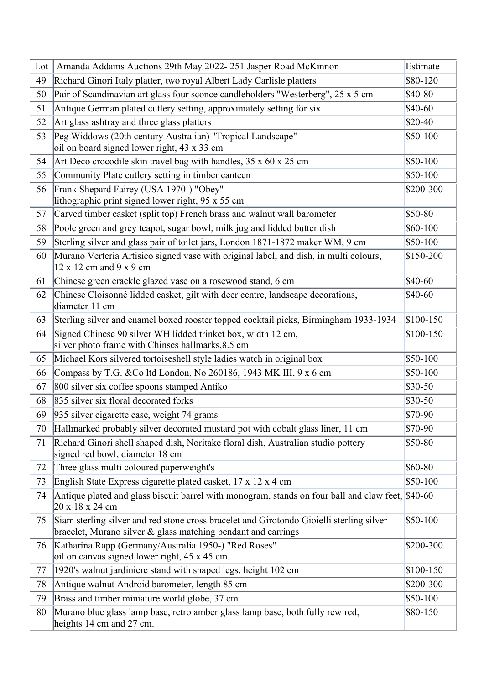| $Lot \vert$ | Amanda Addams Auctions 29th May 2022-251 Jasper Road McKinnon                                                                                             | Estimate   |
|-------------|-----------------------------------------------------------------------------------------------------------------------------------------------------------|------------|
| 49          | Richard Ginori Italy platter, two royal Albert Lady Carlisle platters                                                                                     | \$80-120   |
| 50          | Pair of Scandinavian art glass four sconce candleholders "Westerberg", 25 x 5 cm                                                                          | \$40-80    |
| 51          | Antique German plated cutlery setting, approximately setting for six                                                                                      | \$40-60    |
| 52          | Art glass ashtray and three glass platters                                                                                                                | \$20-40    |
| 53          | Peg Widdows (20th century Australian) "Tropical Landscape"<br>oil on board signed lower right, 43 x 33 cm                                                 | \$50-100   |
| 54          | Art Deco crocodile skin travel bag with handles, $35 \times 60 \times 25$ cm                                                                              | $$50-100$  |
| 55          | Community Plate cutlery setting in timber canteen                                                                                                         | \$50-100   |
| 56          | Frank Shepard Fairey (USA 1970-) "Obey"                                                                                                                   | \$200-300  |
|             | lithographic print signed lower right, 95 x 55 cm                                                                                                         |            |
| 57          | Carved timber casket (split top) French brass and walnut wall barometer                                                                                   | \$50-80    |
| 58          | Poole green and grey teapot, sugar bowl, milk jug and lidded butter dish                                                                                  | \$60-100   |
| 59          | Sterling silver and glass pair of toilet jars, London 1871-1872 maker WM, 9 cm                                                                            | $$50-100$  |
| 60          | Murano Verteria Artisico signed vase with original label, and dish, in multi colours,<br>$12 \times 12$ cm and $9 \times 9$ cm                            | \$150-200  |
| 61          | Chinese green crackle glazed vase on a rosewood stand, 6 cm                                                                                               | \$40-60    |
| 62          | Chinese Cloisonné lidded casket, gilt with deer centre, landscape decorations,<br>diameter 11 cm                                                          | \$40-60    |
| 63          | Sterling silver and enamel boxed rooster topped cocktail picks, Birmingham 1933-1934                                                                      | $$100-150$ |
| 64          | Signed Chinese 90 silver WH lidded trinket box, width 12 cm,<br>silver photo frame with Chinses hallmarks, 8.5 cm                                         | $$100-150$ |
| 65          | Michael Kors silvered tortoiseshell style ladies watch in original box                                                                                    | \$50-100   |
| 66          | Compass by T.G. & Co ltd London, No 260186, 1943 MK III, 9 x 6 cm                                                                                         | \$50-100   |
| 67          | 800 silver six coffee spoons stamped Antiko                                                                                                               | $$30-50$   |
| 68          | 835 silver six floral decorated forks                                                                                                                     | $$30-50$   |
| 69          | 935 silver cigarette case, weight 74 grams                                                                                                                | \$70-90    |
| 70          | Hallmarked probably silver decorated mustard pot with cobalt glass liner, 11 cm                                                                           | \$70-90    |
| 71          | Richard Ginori shell shaped dish, Noritake floral dish, Australian studio pottery<br>signed red bowl, diameter 18 cm                                      | \$50-80    |
| 72          | Three glass multi coloured paperweight's                                                                                                                  | \$60-80    |
| 73          | English State Express cigarette plated casket, 17 x 12 x 4 cm                                                                                             | $$50-100$  |
| 74          | Antique plated and glass biscuit barrel with monogram, stands on four ball and claw feet, \$40-60<br>20 x 18 x 24 cm                                      |            |
| 75          | Siam sterling silver and red stone cross bracelet and Girotondo Gioielli sterling silver<br>bracelet, Murano silver & glass matching pendant and earrings | $$50-100$  |
| 76          | Katharina Rapp (Germany/Australia 1950-) "Red Roses"<br>oil on canvas signed lower right, 45 x 45 cm.                                                     | \$200-300  |
| 77          | 1920's walnut jardiniere stand with shaped legs, height 102 cm                                                                                            | \$100-150  |
| 78          | Antique walnut Android barometer, length 85 cm                                                                                                            | \$200-300  |
| 79          | Brass and timber miniature world globe, 37 cm                                                                                                             | \$50-100   |
| 80          | Murano blue glass lamp base, retro amber glass lamp base, both fully rewired,<br>heights 14 cm and 27 cm.                                                 | \$80-150   |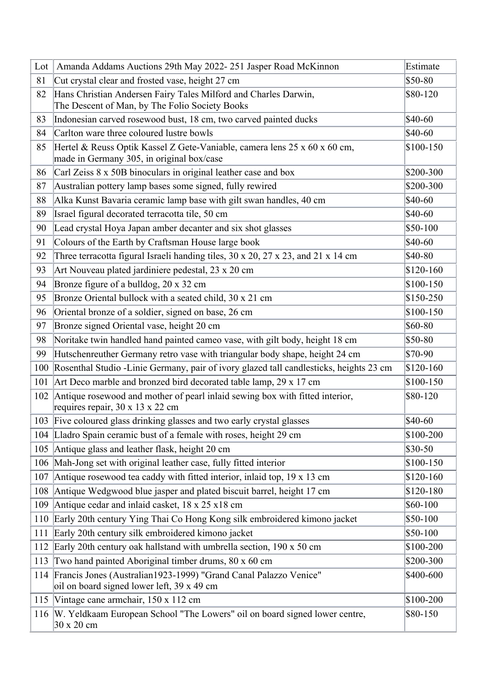| Lot | Amanda Addams Auctions 29th May 2022-251 Jasper Road McKinnon                                                          | Estimate   |
|-----|------------------------------------------------------------------------------------------------------------------------|------------|
| 81  | Cut crystal clear and frosted vase, height 27 cm                                                                       | \$50-80    |
| 82  | Hans Christian Andersen Fairy Tales Milford and Charles Darwin,<br>The Descent of Man, by The Folio Society Books      | \$80-120   |
| 83  | Indonesian carved rosewood bust, 18 cm, two carved painted ducks                                                       | \$40-60    |
| 84  | Carlton ware three coloured lustre bowls                                                                               | \$40-60    |
| 85  | Hertel & Reuss Optik Kassel Z Gete-Vaniable, camera lens 25 x 60 x 60 cm,<br>made in Germany 305, in original box/case | \$100-150  |
| 86  | Carl Zeiss 8 x 50B binoculars in original leather case and box                                                         | \$200-300  |
| 87  | Australian pottery lamp bases some signed, fully rewired                                                               | \$200-300  |
| 88  | Alka Kunst Bavaria ceramic lamp base with gilt swan handles, 40 cm                                                     | \$40-60    |
| 89  | Israel figural decorated terracotta tile, 50 cm                                                                        | \$40-60    |
| 90  | Lead crystal Hoya Japan amber decanter and six shot glasses                                                            | \$50-100   |
| 91  | Colours of the Earth by Craftsman House large book                                                                     | \$40-60    |
| 92  | Three terracotta figural Israeli handing tiles, $30 \times 20$ , $27 \times 23$ , and $21 \times 14$ cm                | \$40-80    |
| 93  | Art Nouveau plated jardiniere pedestal, 23 x 20 cm                                                                     | $$120-160$ |
| 94  | Bronze figure of a bulldog, 20 x 32 cm                                                                                 | $$100-150$ |
| 95  | Bronze Oriental bullock with a seated child, 30 x 21 cm                                                                | \$150-250  |
| 96  | Oriental bronze of a soldier, signed on base, 26 cm                                                                    | \$100-150  |
| 97  | Bronze signed Oriental vase, height 20 cm                                                                              | \$60-80    |
| 98  | Noritake twin handled hand painted cameo vase, with gilt body, height 18 cm                                            | \$50-80    |
| 99  | Hutschenreuther Germany retro vase with triangular body shape, height 24 cm                                            | \$70-90    |
| 100 | Rosenthal Studio -Linie Germany, pair of ivory glazed tall candlesticks, heights 23 cm                                 | $$120-160$ |
| 101 | Art Deco marble and bronzed bird decorated table lamp, $29 \times 17$ cm                                               | \$100-150  |
| 102 | Antique rosewood and mother of pearl inlaid sewing box with fitted interior,<br>requires repair, 30 x 13 x 22 cm       | \$80-120   |
|     | 103 Five coloured glass drinking glasses and two early crystal glasses                                                 | \$40-60    |
|     | 104 Lladro Spain ceramic bust of a female with roses, height 29 cm                                                     | \$100-200  |
| 105 | Antique glass and leather flask, height 20 cm                                                                          | \$30-50    |
| 106 | Mah-Jong set with original leather case, fully fitted interior                                                         | \$100-150  |
| 107 | Antique rosewood tea caddy with fitted interior, inlaid top, $19 \times 13$ cm                                         | \$120-160  |
| 108 | Antique Wedgwood blue jasper and plated biscuit barrel, height 17 cm                                                   | \$120-180  |
| 109 | Antique cedar and inlaid casket, $18 \times 25 \times 18$ cm                                                           | \$60-100   |
| 110 | Early 20th century Ying Thai Co Hong Kong silk embroidered kimono jacket                                               | \$50-100   |
| 111 | Early 20th century silk embroidered kimono jacket                                                                      | \$50-100   |
| 112 | Early 20th century oak hallstand with umbrella section, $190 \times 50$ cm                                             | \$100-200  |
| 113 | Two hand painted Aboriginal timber drums, 80 x 60 cm                                                                   | \$200-300  |
|     | 114 Francis Jones (Australian1923-1999) "Grand Canal Palazzo Venice"<br>oil on board signed lower left, 39 x 49 cm     | \$400-600  |
| 115 | Vintage cane armchair, 150 x 112 cm                                                                                    | \$100-200  |
|     | 116 W. Yeldkaam European School "The Lowers" oil on board signed lower centre,<br>30 x 20 cm                           | \$80-150   |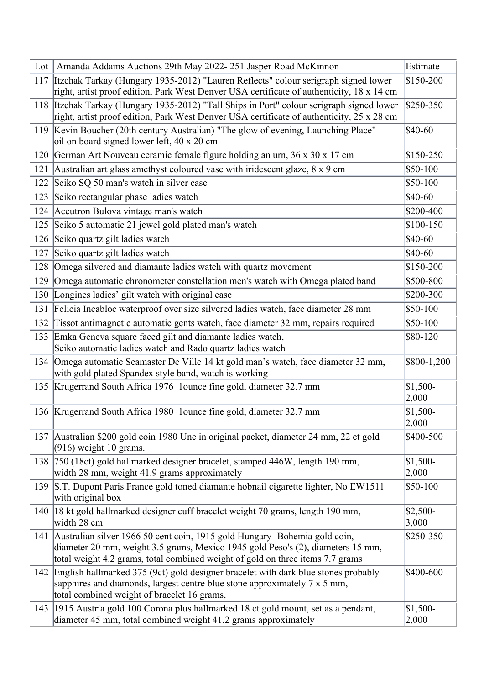| Lot | Amanda Addams Auctions 29th May 2022-251 Jasper Road McKinnon                                                                                                                                                                                  | Estimate           |
|-----|------------------------------------------------------------------------------------------------------------------------------------------------------------------------------------------------------------------------------------------------|--------------------|
|     | 117 Itzchak Tarkay (Hungary 1935-2012) "Lauren Reflects" colour serigraph signed lower                                                                                                                                                         | \$150-200          |
|     | right, artist proof edition, Park West Denver USA certificate of authenticity, 18 x 14 cm                                                                                                                                                      |                    |
|     | 118 Itzchak Tarkay (Hungary 1935-2012) "Tall Ships in Port" colour serigraph signed lower                                                                                                                                                      | \$250-350          |
|     | right, artist proof edition, Park West Denver USA certificate of authenticity, 25 x 28 cm                                                                                                                                                      |                    |
|     | 119 Kevin Boucher (20th century Australian) "The glow of evening, Launching Place"<br>oil on board signed lower left, 40 x 20 cm                                                                                                               | \$40-60            |
|     | 120 German Art Nouveau ceramic female figure holding an urn, 36 x 30 x 17 cm                                                                                                                                                                   | \$150-250          |
| 121 | Australian art glass amethyst coloured vase with iridescent glaze, 8 x 9 cm                                                                                                                                                                    | \$50-100           |
| 122 | Seiko SQ 50 man's watch in silver case                                                                                                                                                                                                         | \$50-100           |
| 123 | Seiko rectangular phase ladies watch                                                                                                                                                                                                           | \$40-60            |
|     | 124 Accutron Bulova vintage man's watch                                                                                                                                                                                                        | \$200-400          |
|     | 125 Seiko 5 automatic 21 jewel gold plated man's watch                                                                                                                                                                                         | \$100-150          |
|     | 126 Seiko quartz gilt ladies watch                                                                                                                                                                                                             | \$40-60            |
| 127 | Seiko quartz gilt ladies watch                                                                                                                                                                                                                 | \$40-60            |
| 128 | Omega silvered and diamante ladies watch with quartz movement                                                                                                                                                                                  | \$150-200          |
| 129 | Omega automatic chronometer constellation men's watch with Omega plated band                                                                                                                                                                   | \$500-800          |
|     | 130 Longines ladies' gilt watch with original case                                                                                                                                                                                             | \$200-300          |
| 131 | Felicia Incabloc waterproof over size silvered ladies watch, face diameter 28 mm                                                                                                                                                               | \$50-100           |
| 132 | Tissot antimagnetic automatic gents watch, face diameter 32 mm, repairs required                                                                                                                                                               | \$50-100           |
|     | 133 Emka Geneva square faced gilt and diamante ladies watch,                                                                                                                                                                                   | \$80-120           |
|     | Seiko automatic ladies watch and Rado quartz ladies watch                                                                                                                                                                                      |                    |
|     | 134 Omega automatic Seamaster De Ville 14 kt gold man's watch, face diameter 32 mm,<br>with gold plated Spandex style band, watch is working                                                                                                   | \$800-1,200        |
|     | 135 Krugerrand South Africa 1976 1 ounce fine gold, diameter 32.7 mm                                                                                                                                                                           | $$1,500-$<br>2,000 |
|     | 136 Krugerrand South Africa 1980 1ounce fine gold, diameter 32.7 mm                                                                                                                                                                            | $$1,500-$<br>2,000 |
|     | 137 Australian \$200 gold coin 1980 Unc in original packet, diameter 24 mm, 22 ct gold<br>$(916)$ weight 10 grams.                                                                                                                             | \$400-500          |
|     | 138 750 (18ct) gold hallmarked designer bracelet, stamped 446W, length 190 mm,<br>width 28 mm, weight 41.9 grams approximately                                                                                                                 | $$1,500-$<br>2,000 |
| 139 | S.T. Dupont Paris France gold toned diamante hobnail cigarette lighter, No EW1511<br>with original box                                                                                                                                         | \$50-100           |
|     | 140  18 kt gold hallmarked designer cuff bracelet weight 70 grams, length 190 mm,<br>width 28 cm                                                                                                                                               | $$2,500-$<br>3,000 |
| 141 | Australian silver 1966 50 cent coin, 1915 gold Hungary-Bohemia gold coin,<br>diameter 20 mm, weight 3.5 grams, Mexico 1945 gold Peso's (2), diameters 15 mm,<br>total weight 4.2 grams, total combined weight of gold on three items 7.7 grams | \$250-350          |
|     | 142 English hallmarked 375 (9ct) gold designer bracelet with dark blue stones probably<br>sapphires and diamonds, largest centre blue stone approximately $7 \times 5$ mm,<br>total combined weight of bracelet 16 grams,                      | \$400-600          |
|     | 143 1915 Austria gold 100 Corona plus hallmarked 18 ct gold mount, set as a pendant,<br>diameter 45 mm, total combined weight 41.2 grams approximately                                                                                         | $$1,500-$<br>2,000 |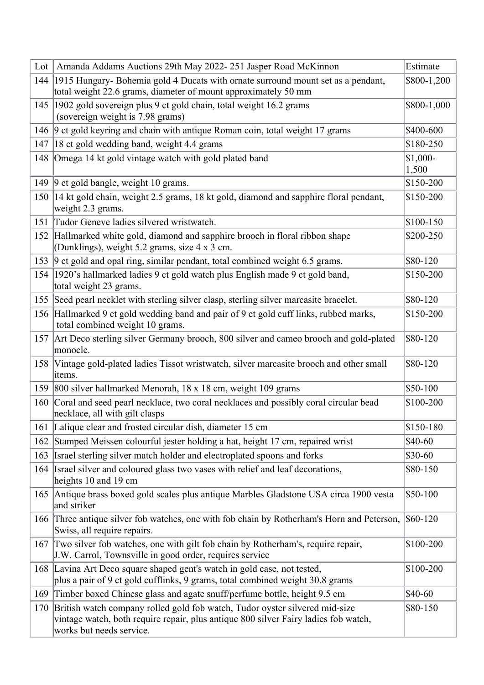| Lot | Amanda Addams Auctions 29th May 2022-251 Jasper Road McKinnon                                                                                                                                      | Estimate           |
|-----|----------------------------------------------------------------------------------------------------------------------------------------------------------------------------------------------------|--------------------|
|     | 144 1915 Hungary-Bohemia gold 4 Ducats with ornate surround mount set as a pendant,                                                                                                                | \$800-1,200        |
|     | total weight 22.6 grams, diameter of mount approximately 50 mm                                                                                                                                     |                    |
|     | 145 1902 gold sovereign plus 9 ct gold chain, total weight 16.2 grams                                                                                                                              | \$800-1,000        |
|     | (sovereign weight is 7.98 grams)<br>146 9 ct gold keyring and chain with antique Roman coin, total weight 17 grams                                                                                 | \$400-600          |
|     |                                                                                                                                                                                                    | \$180-250          |
| 147 | 18 ct gold wedding band, weight 4.4 grams                                                                                                                                                          |                    |
| 148 | Omega 14 kt gold vintage watch with gold plated band                                                                                                                                               | $$1,000-$<br>1,500 |
|     | 149 9 ct gold bangle, weight 10 grams.                                                                                                                                                             | \$150-200          |
|     | 150  14 kt gold chain, weight 2.5 grams, 18 kt gold, diamond and sapphire floral pendant,<br>weight 2.3 grams.                                                                                     | \$150-200          |
| 151 | Tudor Geneve ladies silvered wristwatch.                                                                                                                                                           | \$100-150          |
|     | 152 Hallmarked white gold, diamond and sapphire brooch in floral ribbon shape<br>(Dunklings), weight 5.2 grams, size 4 x 3 cm.                                                                     | \$200-250          |
|     | 153 9 ct gold and opal ring, similar pendant, total combined weight 6.5 grams.                                                                                                                     | \$80-120           |
|     | 154 1920's hallmarked ladies 9 ct gold watch plus English made 9 ct gold band,<br>total weight 23 grams.                                                                                           | \$150-200          |
|     | 155 Seed pearl necklet with sterling silver clasp, sterling silver marcasite bracelet.                                                                                                             | \$80-120           |
|     | 156 Hallmarked 9 ct gold wedding band and pair of 9 ct gold cuff links, rubbed marks,<br>total combined weight 10 grams.                                                                           | \$150-200          |
|     | 157 Art Deco sterling silver Germany brooch, 800 silver and cameo brooch and gold-plated<br>monocle.                                                                                               | \$80-120           |
|     | 158 Vintage gold-plated ladies Tissot wristwatch, silver marcasite brooch and other small<br>items.                                                                                                | \$80-120           |
|     | 159 800 silver hallmarked Menorah, 18 x 18 cm, weight 109 grams                                                                                                                                    | \$50-100           |
| 160 | Coral and seed pearl necklace, two coral necklaces and possibly coral circular bead<br>necklace, all with gilt clasps                                                                              | \$100-200          |
|     | 161 Lalique clear and frosted circular dish, diameter 15 cm                                                                                                                                        | \$150-180          |
|     | 162 Stamped Meissen colourful jester holding a hat, height 17 cm, repaired wrist                                                                                                                   | \$40-60            |
| 163 | Israel sterling silver match holder and electroplated spoons and forks                                                                                                                             | $$30-60$           |
|     | 164 Israel silver and coloured glass two vases with relief and leaf decorations,<br>heights 10 and 19 cm                                                                                           | \$80-150           |
|     | 165 Antique brass boxed gold scales plus antique Marbles Gladstone USA circa 1900 vesta<br>and striker                                                                                             | $$50-100$          |
|     | 166 Three antique silver fob watches, one with fob chain by Rotherham's Horn and Peterson,<br>Swiss, all require repairs.                                                                          | $$60-120$          |
|     | 167 Two silver fob watches, one with gilt fob chain by Rotherham's, require repair,<br>J.W. Carrol, Townsville in good order, requires service                                                     | \$100-200          |
|     | 168 Lavina Art Deco square shaped gent's watch in gold case, not tested,<br>plus a pair of 9 ct gold cufflinks, 9 grams, total combined weight 30.8 grams                                          | \$100-200          |
| 169 | Timber boxed Chinese glass and agate snuff/perfume bottle, height 9.5 cm                                                                                                                           | \$40-60            |
|     | 170 British watch company rolled gold fob watch, Tudor oyster silvered mid-size<br>vintage watch, both require repair, plus antique 800 silver Fairy ladies fob watch,<br>works but needs service. | \$80-150           |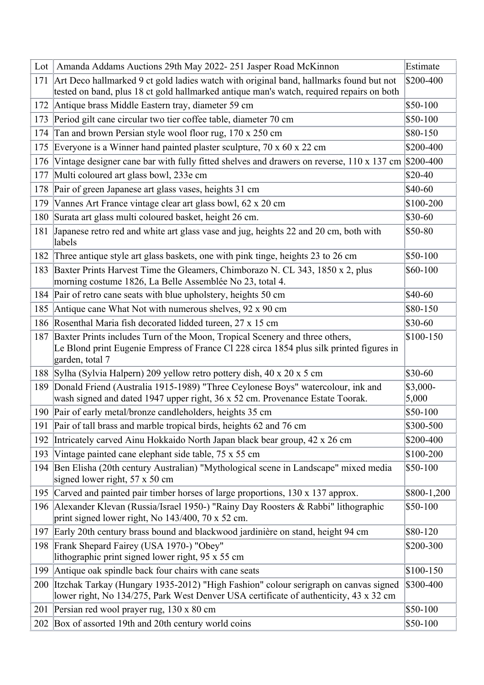| $Lot \vert$ | Amanda Addams Auctions 29th May 2022-251 Jasper Road McKinnon                                                                                                                             | Estimate          |
|-------------|-------------------------------------------------------------------------------------------------------------------------------------------------------------------------------------------|-------------------|
|             | 171 Art Deco hallmarked 9 ct gold ladies watch with original band, hallmarks found but not                                                                                                | \$200-400         |
|             | tested on band, plus 18 ct gold hallmarked antique man's watch, required repairs on both                                                                                                  |                   |
|             | 172 Antique brass Middle Eastern tray, diameter 59 cm                                                                                                                                     | \$50-100          |
| 173         | Period gilt cane circular two tier coffee table, diameter 70 cm                                                                                                                           | \$50-100          |
| 174         | Tan and brown Persian style wool floor rug, 170 x 250 cm                                                                                                                                  | \$80-150          |
| 175         | Everyone is a Winner hand painted plaster sculpture, $70 \times 60 \times 22$ cm                                                                                                          | \$200-400         |
| 176         | Vintage designer cane bar with fully fitted shelves and drawers on reverse, $110 \times 137$ cm $\text{\$200-400}$                                                                        |                   |
| 177         | Multi coloured art glass bowl, 233e cm                                                                                                                                                    | \$20-40           |
| 178         | Pair of green Japanese art glass vases, heights 31 cm                                                                                                                                     | \$40-60           |
| 179         | Vannes Art France vintage clear art glass bowl, 62 x 20 cm                                                                                                                                | \$100-200         |
| 180         | Surata art glass multi coloured basket, height 26 cm.                                                                                                                                     | \$30-60           |
| 181         | Japanese retro red and white art glass vase and jug, heights 22 and 20 cm, both with<br>labels                                                                                            | \$50-80           |
| 182         | Three antique style art glass baskets, one with pink tinge, heights 23 to 26 cm                                                                                                           | \$50-100          |
| 183         | Baxter Prints Harvest Time the Gleamers, Chimborazo N. CL 343, 1850 x 2, plus<br>morning costume 1826, La Belle Assemblée No 23, total 4.                                                 | \$60-100          |
|             | 184 Pair of retro cane seats with blue upholstery, heights 50 cm                                                                                                                          | \$40-60           |
|             | 185 Antique cane What Not with numerous shelves, 92 x 90 cm                                                                                                                               | \$80-150          |
|             | 186 Rosenthal Maria fish decorated lidded tureen, 27 x 15 cm                                                                                                                              | \$30-60           |
| 187         | Baxter Prints includes Turn of the Moon, Tropical Scenery and three others,<br>Le Blond print Eugenie Empress of France Cl 228 circa 1854 plus silk printed figures in<br>garden, total 7 | \$100-150         |
|             | 188 Sylha (Sylvia Halpern) 209 yellow retro pottery dish, 40 x 20 x 5 cm                                                                                                                  | \$30-60           |
| 189         | Donald Friend (Australia 1915-1989) "Three Ceylonese Boys" watercolour, ink and<br>wash signed and dated 1947 upper right, 36 x 52 cm. Provenance Estate Toorak.                          | \$3,000-<br>5,000 |
|             | 190 Pair of early metal/bronze candleholders, heights 35 cm                                                                                                                               | \$50-100          |
|             | 191 Pair of tall brass and marble tropical birds, heights 62 and 76 cm                                                                                                                    | \$300-500         |
| 192         | Intricately carved Ainu Hokkaido North Japan black bear group, 42 x 26 cm                                                                                                                 | \$200-400         |
| 193         | Vintage painted cane elephant side table, 75 x 55 cm                                                                                                                                      | \$100-200         |
|             | 194 Ben Elisha (20th century Australian) "Mythological scene in Landscape" mixed media<br>signed lower right, $57 \times 50$ cm                                                           | \$50-100          |
| 195         | Carved and painted pair timber horses of large proportions, 130 x 137 approx.                                                                                                             | \$800-1,200       |
|             | 196 Alexander Klevan (Russia/Israel 1950-) "Rainy Day Roosters & Rabbi" lithographic<br>print signed lower right, No 143/400, 70 x 52 cm.                                                 | \$50-100          |
| 197         | Early 20th century brass bound and blackwood jardinière on stand, height 94 cm                                                                                                            | \$80-120          |
| 198         | Frank Shepard Fairey (USA 1970-) "Obey"<br>lithographic print signed lower right, 95 x 55 cm                                                                                              | \$200-300         |
| 199         | Antique oak spindle back four chairs with cane seats                                                                                                                                      | \$100-150         |
| 200         | Itzchak Tarkay (Hungary 1935-2012) "High Fashion" colour serigraph on canvas signed<br>lower right, No 134/275, Park West Denver USA certificate of authenticity, 43 x 32 cm              | \$300-400         |
| 201         | Persian red wool prayer rug, 130 x 80 cm                                                                                                                                                  | \$50-100          |
|             | 202 Box of assorted 19th and 20th century world coins                                                                                                                                     | \$50-100          |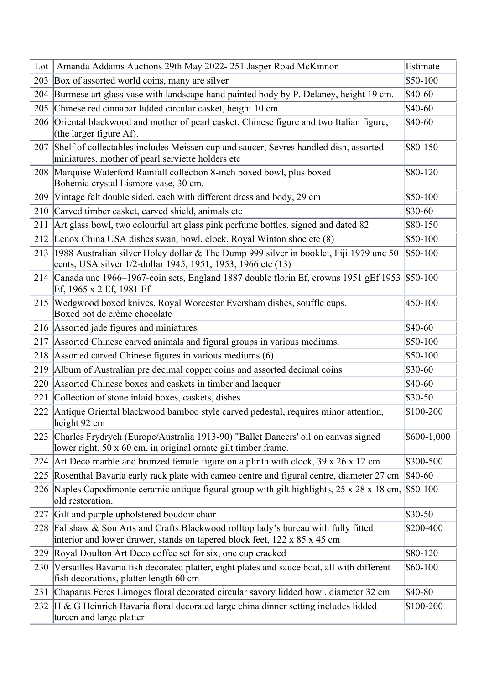| Lot | Amanda Addams Auctions 29th May 2022-251 Jasper Road McKinnon                                                                                                             | Estimate    |
|-----|---------------------------------------------------------------------------------------------------------------------------------------------------------------------------|-------------|
| 203 | Box of assorted world coins, many are silver                                                                                                                              | \$50-100    |
| 204 | Burmese art glass vase with landscape hand painted body by P. Delaney, height 19 cm.                                                                                      | \$40-60     |
| 205 | Chinese red cinnabar lidded circular casket, height 10 cm                                                                                                                 | \$40-60     |
|     | 206 Oriental blackwood and mother of pearl casket, Chinese figure and two Italian figure,<br>(the larger figure $Af$ ).                                                   | \$40-60     |
| 207 | Shelf of collectables includes Meissen cup and saucer, Sevres handled dish, assorted<br>miniatures, mother of pearl serviette holders etc                                 | \$80-150    |
|     | 208 Marquise Waterford Rainfall collection 8-inch boxed bowl, plus boxed<br>Bohemia crystal Lismore vase, 30 cm.                                                          | \$80-120    |
| 209 | Vintage felt double sided, each with different dress and body, 29 cm                                                                                                      | \$50-100    |
| 210 | Carved timber casket, carved shield, animals etc                                                                                                                          | \$30-60     |
| 211 | Art glass bowl, two colourful art glass pink perfume bottles, signed and dated 82                                                                                         | \$80-150    |
|     | 212 Lenox China USA dishes swan, bowl, clock, Royal Winton shoe etc (8)                                                                                                   | \$50-100    |
|     | 213 1988 Australian silver Holey dollar & The Dump 999 silver in booklet, Fiji 1979 unc 50<br>cents, USA silver 1/2-dollar 1945, 1951, 1953, 1966 etc (13)                | $$50-100$   |
|     | 214 Canada unc 1966–1967-coin sets, England 1887 double florin Ef, crowns 1951 gEf 1953<br>Ef, 1965 x 2 Ef, 1981 Ef                                                       | $$50-100$   |
|     | 215 Wedgwood boxed knives, Royal Worcester Eversham dishes, souffle cups.<br>Boxed pot de crème chocolate                                                                 | 450-100     |
|     | 216 Assorted jade figures and miniatures                                                                                                                                  | \$40-60     |
| 217 | Assorted Chinese carved animals and figural groups in various mediums.                                                                                                    | \$50-100    |
| 218 | Assorted carved Chinese figures in various mediums (6)                                                                                                                    | \$50-100    |
| 219 | Album of Australian pre decimal copper coins and assorted decimal coins                                                                                                   | \$30-60     |
| 220 | Assorted Chinese boxes and caskets in timber and lacquer                                                                                                                  | \$40-60     |
| 221 | Collection of stone inlaid boxes, caskets, dishes                                                                                                                         | $$30-50$    |
| 222 | Antique Oriental blackwood bamboo style carved pedestal, requires minor attention,<br>height 92 cm                                                                        | \$100-200   |
| 223 | Charles Frydrych (Europe/Australia 1913-90) "Ballet Dancers' oil on canvas signed<br>lower right, 50 x 60 cm, in original ornate gilt timber frame.                       | \$600-1,000 |
|     | 224 Art Deco marble and bronzed female figure on a plinth with clock, $39 \times 26 \times 12$ cm                                                                         | \$300-500   |
| 225 | Rosenthal Bavaria early rack plate with cameo centre and figural centre, diameter 27 cm                                                                                   | \$40-60     |
|     | 226 Naples Capodimonte ceramic antique figural group with gilt highlights, 25 x 28 x 18 cm,<br>old restoration.                                                           | $$50-100$   |
| 227 | Gilt and purple upholstered boudoir chair                                                                                                                                 | $$30-50$    |
| 228 | Fallshaw & Son Arts and Crafts Blackwood rolltop lady's bureau with fully fitted<br>interior and lower drawer, stands on tapered block feet, $122 \times 85 \times 45$ cm | \$200-400   |
| 229 | Royal Doulton Art Deco coffee set for six, one cup cracked                                                                                                                | \$80-120    |
| 230 | Versailles Bavaria fish decorated platter, eight plates and sauce boat, all with different<br>fish decorations, platter length 60 cm                                      | \$60-100    |
| 231 | Chaparus Feres Limoges floral decorated circular savory lidded bowl, diameter 32 cm                                                                                       | \$40-80     |
| 232 | H & G Heinrich Bavaria floral decorated large china dinner setting includes lidded<br>tureen and large platter                                                            | \$100-200   |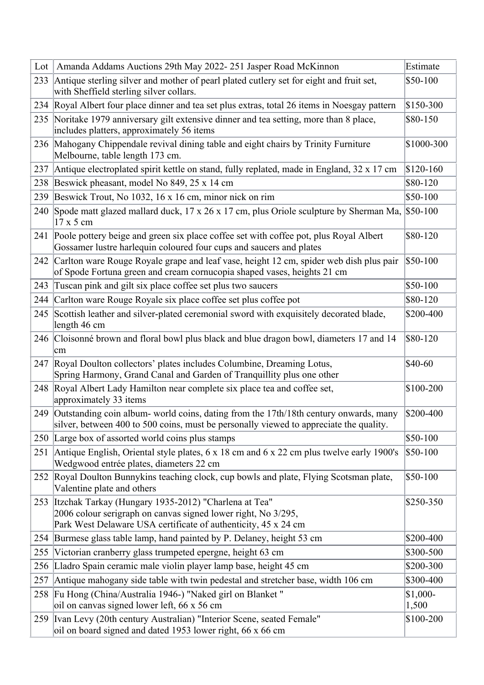| Lot | Amanda Addams Auctions 29th May 2022-251 Jasper Road McKinnon                                                                                                                               | Estimate           |
|-----|---------------------------------------------------------------------------------------------------------------------------------------------------------------------------------------------|--------------------|
|     | 233 Antique sterling silver and mother of pearl plated cutlery set for eight and fruit set,<br>with Sheffield sterling silver collars.                                                      | \$50-100           |
|     | 234 Royal Albert four place dinner and tea set plus extras, total 26 items in Noesgay pattern                                                                                               | \$150-300          |
|     | 235 Noritake 1979 anniversary gilt extensive dinner and tea setting, more than 8 place,<br>includes platters, approximately 56 items                                                        | \$80-150           |
|     | 236 Mahogany Chippendale revival dining table and eight chairs by Trinity Furniture<br>Melbourne, table length 173 cm.                                                                      | \$1000-300         |
| 237 | Antique electroplated spirit kettle on stand, fully replated, made in England, 32 x 17 cm                                                                                                   | $$120-160$         |
| 238 | Beswick pheasant, model No 849, 25 x 14 cm                                                                                                                                                  | \$80-120           |
| 239 | Beswick Trout, No 1032, 16 x 16 cm, minor nick on rim                                                                                                                                       | \$50-100           |
| 240 | Spode matt glazed mallard duck, $17 \times 26 \times 17$ cm, plus Oriole sculpture by Sherman Ma, $$50-100$<br>$17 \times 5$ cm                                                             |                    |
| 241 | Poole pottery beige and green six place coffee set with coffee pot, plus Royal Albert<br>Gossamer lustre harlequin coloured four cups and saucers and plates                                | \$80-120           |
| 242 | Carlton ware Rouge Royale grape and leaf vase, height 12 cm, spider web dish plus pair<br>of Spode Fortuna green and cream cornucopia shaped vases, heights 21 cm                           | \$50-100           |
| 243 | Tuscan pink and gilt six place coffee set plus two saucers                                                                                                                                  | \$50-100           |
| 244 | Carlton ware Rouge Royale six place coffee set plus coffee pot                                                                                                                              | \$80-120           |
| 245 | Scottish leather and silver-plated ceremonial sword with exquisitely decorated blade,<br>length 46 cm                                                                                       | \$200-400          |
|     | 246 Cloisonné brown and floral bowl plus black and blue dragon bowl, diameters 17 and 14<br>cm                                                                                              | \$80-120           |
| 247 | Royal Doulton collectors' plates includes Columbine, Dreaming Lotus,<br>Spring Harmony, Grand Canal and Garden of Tranquillity plus one other                                               | \$40-60            |
|     | 248 Royal Albert Lady Hamilton near complete six place tea and coffee set,<br>approximately 33 items                                                                                        | \$100-200          |
|     | 249 Outstanding coin album- world coins, dating from the 17th/18th century onwards, many<br>silver, between 400 to 500 coins, must be personally viewed to appreciate the quality.          | \$200-400          |
|     | 250 Large box of assorted world coins plus stamps                                                                                                                                           | \$50-100           |
| 251 | Antique English, Oriental style plates, 6 x 18 cm and 6 x 22 cm plus twelve early 1900's<br>Wedgwood entrée plates, diameters 22 cm                                                         | $$50-100$          |
| 252 | Royal Doulton Bunnykins teaching clock, cup bowls and plate, Flying Scotsman plate,<br>Valentine plate and others                                                                           | \$50-100           |
|     | 253 Itzchak Tarkay (Hungary 1935-2012) "Charlena at Tea"<br>2006 colour serigraph on canvas signed lower right, No 3/295,<br>Park West Delaware USA certificate of authenticity, 45 x 24 cm | \$250-350          |
| 254 | Burmese glass table lamp, hand painted by P. Delaney, height 53 cm                                                                                                                          | \$200-400          |
| 255 | Victorian cranberry glass trumpeted epergne, height 63 cm                                                                                                                                   | \$300-500          |
| 256 | Lladro Spain ceramic male violin player lamp base, height 45 cm                                                                                                                             | \$200-300          |
| 257 | Antique mahogany side table with twin pedestal and stretcher base, width 106 cm                                                                                                             | \$300-400          |
| 258 | Fu Hong (China/Australia 1946-) "Naked girl on Blanket"<br>oil on canvas signed lower left, 66 x 56 cm                                                                                      | $$1,000-$<br>1,500 |
|     | 259 Ivan Levy (20th century Australian) "Interior Scene, seated Female"<br>oil on board signed and dated 1953 lower right, 66 x 66 cm                                                       | \$100-200          |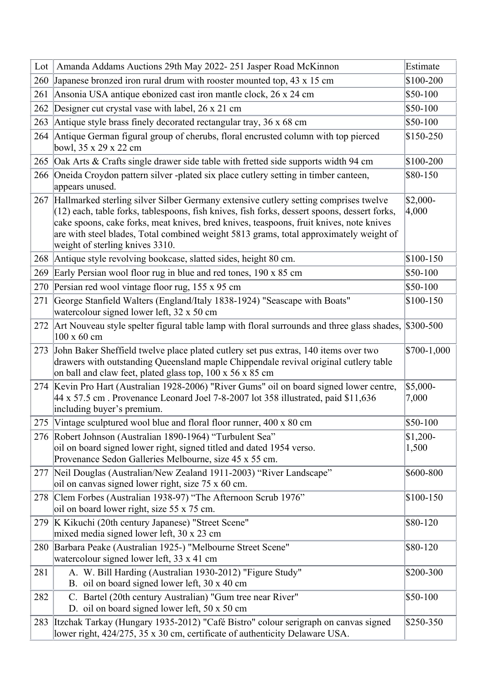| Lot | Amanda Addams Auctions 29th May 2022-251 Jasper Road McKinnon                                                                                                                                                                                                                                                                                                                                                  | Estimate           |
|-----|----------------------------------------------------------------------------------------------------------------------------------------------------------------------------------------------------------------------------------------------------------------------------------------------------------------------------------------------------------------------------------------------------------------|--------------------|
|     | 260 Japanese bronzed iron rural drum with rooster mounted top, 43 x 15 cm                                                                                                                                                                                                                                                                                                                                      | \$100-200          |
| 261 | Ansonia USA antique ebonized cast iron mantle clock, 26 x 24 cm                                                                                                                                                                                                                                                                                                                                                | \$50-100           |
| 262 | Designer cut crystal vase with label, 26 x 21 cm                                                                                                                                                                                                                                                                                                                                                               | \$50-100           |
| 263 | Antique style brass finely decorated rectangular tray, 36 x 68 cm                                                                                                                                                                                                                                                                                                                                              | \$50-100           |
| 264 | Antique German figural group of cherubs, floral encrusted column with top pierced<br>bowl, 35 x 29 x 22 cm                                                                                                                                                                                                                                                                                                     | \$150-250          |
| 265 | Oak Arts & Crafts single drawer side table with fretted side supports width 94 cm                                                                                                                                                                                                                                                                                                                              | \$100-200          |
|     | 266 Oneida Croydon pattern silver -plated six place cutlery setting in timber canteen,<br>appears unused.                                                                                                                                                                                                                                                                                                      | \$80-150           |
| 267 | Hallmarked sterling silver Silber Germany extensive cutlery setting comprises twelve<br>$(12)$ each, table forks, tablespoons, fish knives, fish forks, dessert spoons, dessert forks,<br>cake spoons, cake forks, meat knives, bred knives, teaspoons, fruit knives, note knives<br>are with steel blades, Total combined weight 5813 grams, total approximately weight of<br>weight of sterling knives 3310. | \$2,000-<br>4,000  |
|     | 268 Antique style revolving bookcase, slatted sides, height 80 cm.                                                                                                                                                                                                                                                                                                                                             | \$100-150          |
| 269 | Early Persian wool floor rug in blue and red tones, 190 x 85 cm                                                                                                                                                                                                                                                                                                                                                | \$50-100           |
| 270 | Persian red wool vintage floor rug, $155 \times 95$ cm                                                                                                                                                                                                                                                                                                                                                         | \$50-100           |
| 271 | George Stanfield Walters (England/Italy 1838-1924) "Seascape with Boats"<br>watercolour signed lower left, 32 x 50 cm                                                                                                                                                                                                                                                                                          | \$100-150          |
|     | 272 Art Nouveau style spelter figural table lamp with floral surrounds and three glass shades, \$300-500<br>100 x 60 cm                                                                                                                                                                                                                                                                                        |                    |
| 273 | John Baker Sheffield twelve place plated cutlery set pus extras, 140 items over two<br>drawers with outstanding Queensland maple Chippendale revival original cutlery table<br>on ball and claw feet, plated glass top, 100 x 56 x 85 cm                                                                                                                                                                       | \$700-1,000        |
|     | 274 Kevin Pro Hart (Australian 1928-2006) "River Gums" oil on board signed lower centre,<br>$ 44 \times 57.5 \text{ cm}$ . Provenance Leonard Joel 7-8-2007 lot 358 illustrated, paid \$11,636<br>including buyer's premium.                                                                                                                                                                                   | \$5,000-<br>7,000  |
|     | 275 Vintage sculptured wool blue and floral floor runner, 400 x 80 cm                                                                                                                                                                                                                                                                                                                                          | \$50-100           |
|     | 276 Robert Johnson (Australian 1890-1964) "Turbulent Sea"<br>oil on board signed lower right, signed titled and dated 1954 verso.<br>Provenance Sedon Galleries Melbourne, size 45 x 55 cm.                                                                                                                                                                                                                    | $$1,200-$<br>1,500 |
|     | 277 Neil Douglas (Australian/New Zealand 1911-2003) "River Landscape"<br>oil on canvas signed lower right, size 75 x 60 cm.                                                                                                                                                                                                                                                                                    | \$600-800          |
| 278 | Clem Forbes (Australian 1938-97) "The Afternoon Scrub 1976"<br>oil on board lower right, size 55 x 75 cm.                                                                                                                                                                                                                                                                                                      | \$100-150          |
| 279 | K Kikuchi (20th century Japanese) "Street Scene"<br>mixed media signed lower left, 30 x 23 cm                                                                                                                                                                                                                                                                                                                  | \$80-120           |
| 280 | Barbara Peake (Australian 1925-) "Melbourne Street Scene"<br>watercolour signed lower left, $33 \times 41$ cm                                                                                                                                                                                                                                                                                                  | \$80-120           |
| 281 | A. W. Bill Harding (Australian 1930-2012) "Figure Study"<br>B. oil on board signed lower left, 30 x 40 cm                                                                                                                                                                                                                                                                                                      | \$200-300          |
| 282 | C. Bartel (20th century Australian) "Gum tree near River"<br>D. oil on board signed lower left, 50 x 50 cm                                                                                                                                                                                                                                                                                                     | \$50-100           |
| 283 | Itzchak Tarkay (Hungary 1935-2012) "Café Bistro" colour serigraph on canvas signed<br>lower right, 424/275, 35 x 30 cm, certificate of authenticity Delaware USA.                                                                                                                                                                                                                                              | \$250-350          |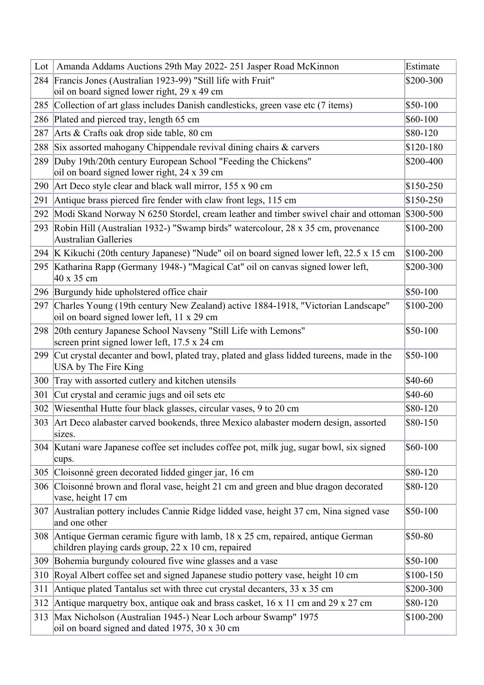| Lot | Amanda Addams Auctions 29th May 2022-251 Jasper Road McKinnon                                                                           | Estimate   |
|-----|-----------------------------------------------------------------------------------------------------------------------------------------|------------|
|     | 284 Francis Jones (Australian 1923-99) "Still life with Fruit"                                                                          | \$200-300  |
|     | oil on board signed lower right, 29 x 49 cm                                                                                             |            |
|     | 285 Collection of art glass includes Danish candlesticks, green vase etc (7 items)                                                      | \$50-100   |
|     | 286 Plated and pierced tray, length 65 cm                                                                                               | \$60-100   |
| 287 | Arts & Crafts oak drop side table, $80 \text{ cm}$                                                                                      | \$80-120   |
| 288 | Six assorted mahogany Chippendale revival dining chairs & carvers                                                                       | \$120-180  |
| 289 | Duby 19th/20th century European School "Feeding the Chickens"<br>oil on board signed lower right, 24 x 39 cm                            | \$200-400  |
|     | 290 Art Deco style clear and black wall mirror, $155 \times 90$ cm                                                                      | \$150-250  |
| 291 | Antique brass pierced fire fender with claw front legs, 115 cm                                                                          | \$150-250  |
| 292 | Modi Skand Norway N 6250 Stordel, cream leather and timber swivel chair and ottoman \$300-500                                           |            |
| 293 | Robin Hill (Australian 1932-) "Swamp birds" watercolour, 28 x 35 cm, provenance<br>Australian Galleries                                 | \$100-200  |
|     | 294 K Kikuchi (20th century Japanese) "Nude" oil on board signed lower left, 22.5 x 15 cm                                               | \$100-200  |
|     | 295 Katharina Rapp (Germany 1948-) "Magical Cat" oil on canvas signed lower left,<br>40 x 35 cm                                         | \$200-300  |
|     | 296 Burgundy hide upholstered office chair                                                                                              | \$50-100   |
|     | 297 Charles Young (19th century New Zealand) active 1884-1918, "Victorian Landscape"<br>oil on board signed lower left, 11 x 29 cm      | $$100-200$ |
|     | 298 20th century Japanese School Navseny "Still Life with Lemons"<br>screen print signed lower left, 17.5 x 24 cm                       | \$50-100   |
| 299 | Cut crystal decanter and bowl, plated tray, plated and glass lidded tureens, made in the<br>USA by The Fire King                        | \$50-100   |
| 300 | Tray with assorted cutlery and kitchen utensils                                                                                         | \$40-60    |
| 301 | Cut crystal and ceramic jugs and oil sets etc                                                                                           | \$40-60    |
| 302 | Wiesenthal Hutte four black glasses, circular vases, 9 to 20 cm                                                                         | \$80-120   |
|     | 303 Art Deco alabaster carved bookends, three Mexico alabaster modern design, assorted<br>sizes.                                        | \$80-150   |
|     | 304 Kutani ware Japanese coffee set includes coffee pot, milk jug, sugar bowl, six signed<br>cups.                                      | $$60-100$  |
|     | 305 Cloisonné green decorated lidded ginger jar, 16 cm                                                                                  | \$80-120   |
| 306 | Cloisonné brown and floral vase, height 21 cm and green and blue dragon decorated<br>vase, height 17 cm                                 | \$80-120   |
|     | 307 Australian pottery includes Cannie Ridge lidded vase, height 37 cm, Nina signed vase<br>and one other                               | \$50-100   |
|     | 308 Antique German ceramic figure with lamb, 18 x 25 cm, repaired, antique German<br>children playing cards group, 22 x 10 cm, repaired | \$50-80    |
|     | 309 Bohemia burgundy coloured five wine glasses and a vase                                                                              | \$50-100   |
| 310 | Royal Albert coffee set and signed Japanese studio pottery vase, height 10 cm                                                           | \$100-150  |
| 311 | Antique plated Tantalus set with three cut crystal decanters, $33 \times 35$ cm                                                         | \$200-300  |
| 312 | Antique marquetry box, antique oak and brass casket, $16 \times 11$ cm and $29 \times 27$ cm                                            | \$80-120   |
| 313 | Max Nicholson (Australian 1945-) Near Loch arbour Swamp" 1975<br>oil on board signed and dated 1975, 30 x 30 cm                         | \$100-200  |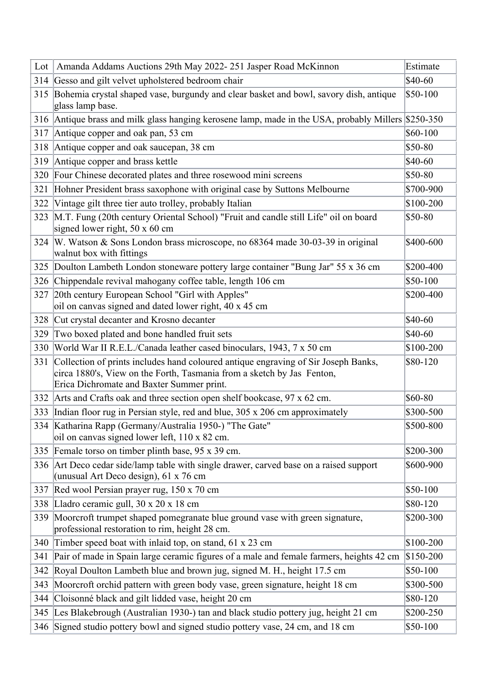| Lot | Amanda Addams Auctions 29th May 2022-251 Jasper Road McKinnon                                                                                                                                                 | Estimate   |
|-----|---------------------------------------------------------------------------------------------------------------------------------------------------------------------------------------------------------------|------------|
|     | 314 Gesso and gilt velvet upholstered bedroom chair                                                                                                                                                           | \$40-60    |
|     | 315 Bohemia crystal shaped vase, burgundy and clear basket and bowl, savory dish, antique<br>glass lamp base.                                                                                                 | $$50-100$  |
|     | 316 Antique brass and milk glass hanging kerosene lamp, made in the USA, probably Millers \$250-350                                                                                                           |            |
| 317 | Antique copper and oak pan, 53 cm                                                                                                                                                                             | \$60-100   |
| 318 | Antique copper and oak saucepan, 38 cm                                                                                                                                                                        | \$50-80    |
| 319 | Antique copper and brass kettle                                                                                                                                                                               | \$40-60    |
| 320 | Four Chinese decorated plates and three rosewood mini screens                                                                                                                                                 | \$50-80    |
| 321 | Hohner President brass saxophone with original case by Suttons Melbourne                                                                                                                                      | \$700-900  |
| 322 | Vintage gilt three tier auto trolley, probably Italian                                                                                                                                                        | \$100-200  |
|     | 323 M.T. Fung (20th century Oriental School) "Fruit and candle still Life" oil on board<br>signed lower right, 50 x 60 cm                                                                                     | \$50-80    |
|     | 324 W. Watson & Sons London brass microscope, no 68364 made 30-03-39 in original<br>walnut box with fittings                                                                                                  | \$400-600  |
|     | 325 Doulton Lambeth London stoneware pottery large container "Bung Jar" 55 x 36 cm                                                                                                                            | \$200-400  |
|     | 326 Chippendale revival mahogany coffee table, length 106 cm                                                                                                                                                  | \$50-100   |
|     | 327 20th century European School "Girl with Apples"                                                                                                                                                           | \$200-400  |
|     | oil on canvas signed and dated lower right, 40 x 45 cm                                                                                                                                                        |            |
|     | 328 Cut crystal decanter and Krosno decanter                                                                                                                                                                  | $$40-60$   |
| 329 | Two boxed plated and bone handled fruit sets                                                                                                                                                                  | \$40-60    |
| 330 | World War II R.E.L./Canada leather cased binoculars, 1943, 7 x 50 cm                                                                                                                                          | \$100-200  |
|     | 331 Collection of prints includes hand coloured antique engraving of Sir Joseph Banks,<br>circa 1880's, View on the Forth, Tasmania from a sketch by Jas Fenton,<br>Erica Dichromate and Baxter Summer print. | \$80-120   |
|     | 332 Arts and Crafts oak and three section open shelf bookcase, 97 x 62 cm.                                                                                                                                    | \$60-80    |
|     | 333 Indian floor rug in Persian style, red and blue, 305 x 206 cm approximately                                                                                                                               | \$300-500  |
|     | 334 Katharina Rapp (Germany/Australia 1950-) "The Gate"<br>oil on canvas signed lower left, 110 x 82 cm.                                                                                                      | \$500-800  |
|     | 335 Female torso on timber plinth base, 95 x 39 cm.                                                                                                                                                           | \$200-300  |
|     | 336 Art Deco cedar side/lamp table with single drawer, carved base on a raised support<br>(unusual Art Deco design), 61 x 76 cm                                                                               | \$600-900  |
|     | 337 Red wool Persian prayer rug, 150 x 70 cm                                                                                                                                                                  | $$50-100$  |
| 338 | Lladro ceramic gull, 30 x 20 x 18 cm                                                                                                                                                                          | \$80-120   |
| 339 | Moorcroft trumpet shaped pomegranate blue ground vase with green signature,<br>professional restoration to rim, height 28 cm.                                                                                 | \$200-300  |
| 340 | Timber speed boat with inlaid top, on stand, $61 \times 23$ cm                                                                                                                                                | \$100-200  |
| 341 | Pair of made in Spain large ceramic figures of a male and female farmers, heights 42 cm                                                                                                                       | $$150-200$ |
| 342 | Royal Doulton Lambeth blue and brown jug, signed M. H., height 17.5 cm                                                                                                                                        | \$50-100   |
| 343 | Moorcroft orchid pattern with green body vase, green signature, height 18 cm                                                                                                                                  | \$300-500  |
| 344 | Cloisonné black and gilt lidded vase, height 20 cm                                                                                                                                                            | \$80-120   |
|     | 345 Les Blakebrough (Australian 1930-) tan and black studio pottery jug, height 21 cm                                                                                                                         | \$200-250  |
|     | 346 Signed studio pottery bowl and signed studio pottery vase, 24 cm, and 18 cm                                                                                                                               | \$50-100   |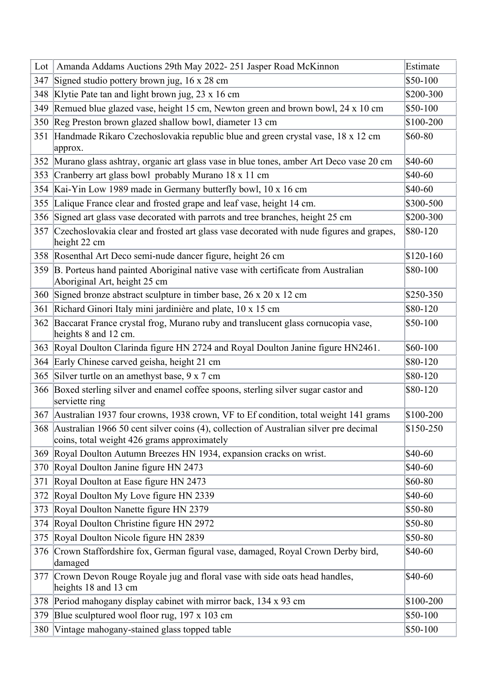| Lot | Amanda Addams Auctions 29th May 2022-251 Jasper Road McKinnon                                                                            | Estimate   |
|-----|------------------------------------------------------------------------------------------------------------------------------------------|------------|
| 347 | Signed studio pottery brown jug, $16 \times 28$ cm                                                                                       | \$50-100   |
| 348 | Klytie Pate tan and light brown jug, $23 \times 16$ cm                                                                                   | \$200-300  |
| 349 | Remued blue glazed vase, height 15 cm, Newton green and brown bowl, 24 x 10 cm                                                           | $$50-100$  |
| 350 | Reg Preston brown glazed shallow bowl, diameter 13 cm                                                                                    | \$100-200  |
| 351 | Handmade Rikaro Czechoslovakia republic blue and green crystal vase, 18 x 12 cm<br>approx.                                               | \$60-80    |
|     | 352 Murano glass ashtray, organic art glass vase in blue tones, amber Art Deco vase 20 cm                                                | \$40-60    |
| 353 | Cranberry art glass bowl probably Murano 18 x 11 cm                                                                                      | \$40-60    |
|     | 354 Kai-Yin Low 1989 made in Germany butterfly bowl, 10 x 16 cm                                                                          | \$40-60    |
| 355 | Lalique France clear and frosted grape and leaf vase, height 14 cm.                                                                      | \$300-500  |
| 356 | Signed art glass vase decorated with parrots and tree branches, height 25 cm                                                             | \$200-300  |
| 357 | Czechoslovakia clear and frosted art glass vase decorated with nude figures and grapes,<br>height 22 cm                                  | \$80-120   |
|     | 358 Rosenthal Art Deco semi-nude dancer figure, height 26 cm                                                                             | $$120-160$ |
|     | 359 B. Porteus hand painted Aboriginal native vase with certificate from Australian<br>Aboriginal Art, height 25 cm                      | \$80-100   |
|     | 360 Signed bronze abstract sculpture in timber base, 26 x 20 x 12 cm                                                                     | \$250-350  |
| 361 | Richard Ginori Italy mini jardinière and plate, 10 x 15 cm                                                                               | \$80-120   |
|     | 362 Baccarat France crystal frog, Murano ruby and translucent glass cornucopia vase,<br>heights 8 and 12 cm.                             | \$50-100   |
| 363 | Royal Doulton Clarinda figure HN 2724 and Royal Doulton Janine figure HN2461.                                                            | $$60-100$  |
|     | 364 Early Chinese carved geisha, height 21 cm                                                                                            | \$80-120   |
|     | 365 Silver turtle on an amethyst base, 9 x 7 cm                                                                                          | \$80-120   |
|     | 366 Boxed sterling silver and enamel coffee spoons, sterling silver sugar castor and<br>serviette ring                                   | \$80-120   |
|     | 367 Australian 1937 four crowns, 1938 crown, VF to Ef condition, total weight 141 grams                                                  | \$100-200  |
|     | 368 Australian 1966 50 cent silver coins (4), collection of Australian silver pre decimal<br>coins, total weight 426 grams approximately | $$150-250$ |
|     | 369 Royal Doulton Autumn Breezes HN 1934, expansion cracks on wrist.                                                                     | \$40-60    |
| 370 | Royal Doulton Janine figure HN 2473                                                                                                      | \$40-60    |
| 371 | Royal Doulton at Ease figure HN 2473                                                                                                     | \$60-80    |
| 372 | Royal Doulton My Love figure HN 2339                                                                                                     | \$40-60    |
| 373 | Royal Doulton Nanette figure HN 2379                                                                                                     | \$50-80    |
| 374 | Royal Doulton Christine figure HN 2972                                                                                                   | \$50-80    |
| 375 | Royal Doulton Nicole figure HN 2839                                                                                                      | \$50-80    |
| 376 | Crown Staffordshire fox, German figural vase, damaged, Royal Crown Derby bird,<br>damaged                                                | \$40-60    |
| 377 | Crown Devon Rouge Royale jug and floral vase with side oats head handles,<br>heights 18 and 13 cm                                        | \$40-60    |
| 378 | Period mahogany display cabinet with mirror back, 134 x 93 cm                                                                            | \$100-200  |
| 379 | Blue sculptured wool floor rug, 197 x 103 cm                                                                                             | $$50-100$  |
| 380 | Vintage mahogany-stained glass topped table                                                                                              | \$50-100   |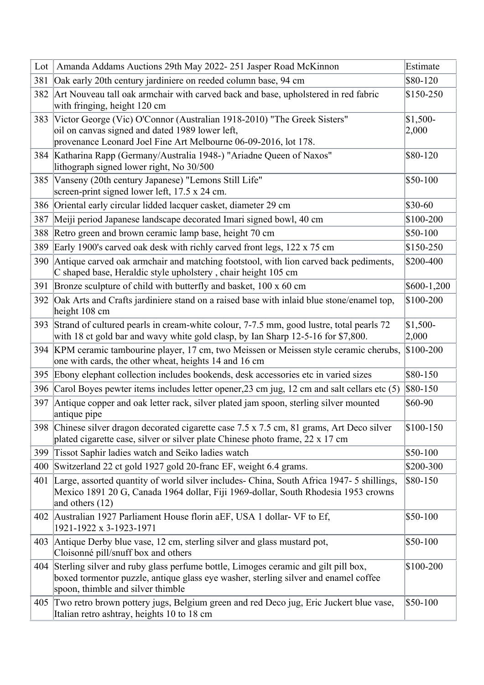| Lot | Amanda Addams Auctions 29th May 2022-251 Jasper Road McKinnon                                                                                                                                                 | Estimate           |
|-----|---------------------------------------------------------------------------------------------------------------------------------------------------------------------------------------------------------------|--------------------|
| 381 | Oak early 20th century jardiniere on reeded column base, 94 cm                                                                                                                                                | \$80-120           |
| 382 | Art Nouveau tall oak armchair with carved back and base, upholstered in red fabric<br>with fringing, height 120 cm                                                                                            | \$150-250          |
| 383 | Victor George (Vic) O'Connor (Australian 1918-2010) "The Greek Sisters"                                                                                                                                       | $$1,500-$          |
|     | oil on canvas signed and dated 1989 lower left,<br>provenance Leonard Joel Fine Art Melbourne 06-09-2016, lot 178.                                                                                            | 2,000              |
|     | 384 Katharina Rapp (Germany/Australia 1948-) "Ariadne Queen of Naxos"<br>lithograph signed lower right, No 30/500                                                                                             | \$80-120           |
| 385 | Vanseny (20th century Japanese) "Lemons Still Life"<br>screen-print signed lower left, 17.5 x 24 cm.                                                                                                          | $$50-100$          |
|     | 386 Oriental early circular lidded lacquer casket, diameter 29 cm                                                                                                                                             | \$30-60            |
| 387 | Meiji period Japanese landscape decorated Imari signed bowl, 40 cm                                                                                                                                            | \$100-200          |
| 388 | Retro green and brown ceramic lamp base, height 70 cm                                                                                                                                                         | \$50-100           |
| 389 | Early 1900's carved oak desk with richly carved front legs, 122 x 75 cm                                                                                                                                       | \$150-250          |
| 390 | Antique carved oak armchair and matching footstool, with lion carved back pediments,<br>C shaped base, Heraldic style upholstery, chair height 105 cm                                                         | \$200-400          |
| 391 | Bronze sculpture of child with butterfly and basket, 100 x 60 cm                                                                                                                                              | \$600-1,200        |
| 392 | Oak Arts and Crafts jardiniere stand on a raised base with inlaid blue stone/enamel top,<br>height 108 cm                                                                                                     | \$100-200          |
| 393 | Strand of cultured pearls in cream-white colour, 7-7.5 mm, good lustre, total pearls 72<br>with 18 ct gold bar and wavy white gold clasp, by Ian Sharp 12-5-16 for \$7,800.                                   | $$1,500-$<br>2,000 |
|     | 394 KPM ceramic tambourine player, 17 cm, two Meissen or Meissen style ceramic cherubs,<br>one with cards, the other wheat, heights 14 and 16 cm                                                              | $$100-200$         |
| 395 | Ebony elephant collection includes bookends, desk accessories etc in varied sizes                                                                                                                             | \$80-150           |
|     | 396 Carol Boyes pewter items includes letter opener, 23 cm jug, 12 cm and salt cellars etc (5)                                                                                                                | \$80-150           |
| 397 | Antique copper and oak letter rack, silver plated jam spoon, sterling silver mounted<br>antique pipe                                                                                                          | \$60-90            |
|     | 398 Chinese silver dragon decorated cigarette case 7.5 x 7.5 cm, 81 grams, Art Deco silver<br>plated cigarette case, silver or silver plate Chinese photo frame, 22 x 17 cm                                   | $$100-150$         |
| 399 | Tissot Saphir ladies watch and Seiko ladies watch                                                                                                                                                             | \$50-100           |
| 400 | Switzerland 22 ct gold 1927 gold 20-franc EF, weight 6.4 grams.                                                                                                                                               | \$200-300          |
| 401 | Large, assorted quantity of world silver includes- China, South Africa 1947- 5 shillings,<br>Mexico 1891 20 G, Canada 1964 dollar, Fiji 1969-dollar, South Rhodesia 1953 crowns<br>and others $(12)$          | \$80-150           |
| 402 | Australian 1927 Parliament House florin aEF, USA 1 dollar- VF to Ef,<br>1921-1922 x 3-1923-1971                                                                                                               | $$50-100$          |
| 403 | Antique Derby blue vase, 12 cm, sterling silver and glass mustard pot,<br>Cloisonné pill/snuff box and others                                                                                                 | \$50-100           |
| 404 | Sterling silver and ruby glass perfume bottle, Limoges ceramic and gilt pill box,<br>boxed tormentor puzzle, antique glass eye washer, sterling silver and enamel coffee<br>spoon, thimble and silver thimble | \$100-200          |
|     | 405 Two retro brown pottery jugs, Belgium green and red Deco jug, Eric Juckert blue vase,<br>Italian retro ashtray, heights 10 to 18 cm                                                                       | $$50-100$          |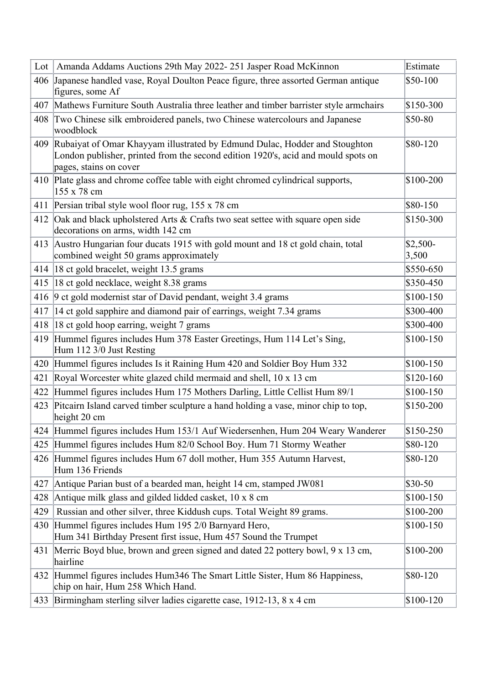| $Lot \vert$ | Amanda Addams Auctions 29th May 2022-251 Jasper Road McKinnon                                                                                                                             | Estimate           |
|-------------|-------------------------------------------------------------------------------------------------------------------------------------------------------------------------------------------|--------------------|
|             | 406 Japanese handled vase, Royal Doulton Peace figure, three assorted German antique<br>figures, some Af                                                                                  | \$50-100           |
| 407         | Mathews Furniture South Australia three leather and timber barrister style armchairs                                                                                                      | \$150-300          |
| 408         | Two Chinese silk embroidered panels, two Chinese watercolours and Japanese<br>woodblock                                                                                                   | \$50-80            |
| 409         | Rubaiyat of Omar Khayyam illustrated by Edmund Dulac, Hodder and Stoughton<br>London publisher, printed from the second edition 1920's, acid and mould spots on<br>pages, stains on cover | \$80-120           |
|             | 410 Plate glass and chrome coffee table with eight chromed cylindrical supports,<br>155 x 78 cm                                                                                           | \$100-200          |
| 411         | Persian tribal style wool floor rug, 155 x 78 cm                                                                                                                                          | \$80-150           |
| 412         | Oak and black upholstered Arts & Crafts two seat settee with square open side<br>decorations on arms, width 142 cm                                                                        | \$150-300          |
|             | 413 Austro Hungarian four ducats 1915 with gold mount and 18 ct gold chain, total<br>combined weight 50 grams approximately                                                               | $$2,500-$<br>3,500 |
|             | 414 18 ct gold bracelet, weight 13.5 grams                                                                                                                                                | \$550-650          |
| 415         | 18 ct gold necklace, weight 8.38 grams                                                                                                                                                    | \$350-450          |
| 416         | 9 ct gold modernist star of David pendant, weight 3.4 grams                                                                                                                               | \$100-150          |
| 417         | 14 ct gold sapphire and diamond pair of earrings, weight 7.34 grams                                                                                                                       | \$300-400          |
| 418         | 18 ct gold hoop earring, weight 7 grams                                                                                                                                                   | \$300-400          |
| 419         | Hummel figures includes Hum 378 Easter Greetings, Hum 114 Let's Sing,<br>Hum 112 3/0 Just Resting                                                                                         | $$100-150$         |
|             | 420 Hummel figures includes Is it Raining Hum 420 and Soldier Boy Hum 332                                                                                                                 | \$100-150          |
| 421         | Royal Worcester white glazed child mermaid and shell, 10 x 13 cm                                                                                                                          | $$120-160$         |
| 422         | Hummel figures includes Hum 175 Mothers Darling, Little Cellist Hum 89/1                                                                                                                  | \$100-150          |
| 423         | Pitcairn Island carved timber sculpture a hand holding a vase, minor chip to top,<br>height 20 cm                                                                                         | \$150-200          |
|             | 424 Hummel figures includes Hum 153/1 Auf Wiedersenhen, Hum 204 Weary Wanderer                                                                                                            | \$150-250          |
| 425         | Hummel figures includes Hum 82/0 School Boy. Hum 71 Stormy Weather                                                                                                                        | \$80-120           |
|             | 426 Hummel figures includes Hum 67 doll mother, Hum 355 Autumn Harvest,<br>Hum 136 Friends                                                                                                | \$80-120           |
| 427         | Antique Parian bust of a bearded man, height 14 cm, stamped JW081                                                                                                                         | \$30-50            |
| 428         | Antique milk glass and gilded lidded casket, 10 x 8 cm                                                                                                                                    | \$100-150          |
| 429         | Russian and other silver, three Kiddush cups. Total Weight 89 grams.                                                                                                                      | \$100-200          |
|             | 430 Hummel figures includes Hum 195 2/0 Barnyard Hero,<br>Hum 341 Birthday Present first issue, Hum 457 Sound the Trumpet                                                                 | \$100-150          |
| 431         | Merric Boyd blue, brown and green signed and dated 22 pottery bowl, 9 x 13 cm,<br>hairline                                                                                                | \$100-200          |
| 432         | Hummel figures includes Hum346 The Smart Little Sister, Hum 86 Happiness,<br>chip on hair, Hum 258 Which Hand.                                                                            | \$80-120           |
|             | 433 Birmingham sterling silver ladies cigarette case, 1912-13, 8 x 4 cm                                                                                                                   | \$100-120          |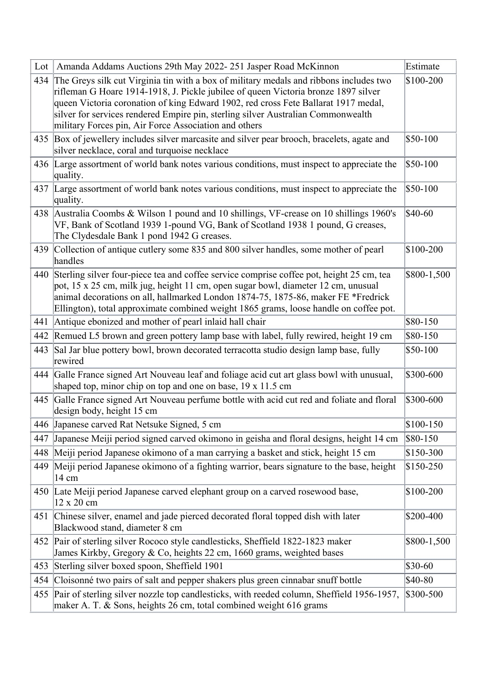| Lot | Amanda Addams Auctions 29th May 2022-251 Jasper Road McKinnon                                                                                                                                                                                                                                                                                                                                                   | Estimate    |
|-----|-----------------------------------------------------------------------------------------------------------------------------------------------------------------------------------------------------------------------------------------------------------------------------------------------------------------------------------------------------------------------------------------------------------------|-------------|
| 434 | The Greys silk cut Virginia tin with a box of military medals and ribbons includes two<br>rifleman G Hoare 1914-1918, J. Pickle jubilee of queen Victoria bronze 1897 silver<br>queen Victoria coronation of king Edward 1902, red cross Fete Ballarat 1917 medal,<br>silver for services rendered Empire pin, sterling silver Australian Commonwealth<br>military Forces pin, Air Force Association and others | \$100-200   |
|     | 435 Box of jewellery includes silver marcasite and silver pear brooch, bracelets, agate and<br>silver necklace, coral and turquoise necklace                                                                                                                                                                                                                                                                    | $$50-100$   |
|     | 436 Large assortment of world bank notes various conditions, must inspect to appreciate the<br>quality.                                                                                                                                                                                                                                                                                                         | \$50-100    |
|     | 437 Large assortment of world bank notes various conditions, must inspect to appreciate the<br>quality.                                                                                                                                                                                                                                                                                                         | \$50-100    |
|     | 438 Australia Coombs & Wilson 1 pound and 10 shillings, VF-crease on 10 shillings 1960's<br>VF, Bank of Scotland 1939 1-pound VG, Bank of Scotland 1938 1 pound, G creases,<br>The Clydesdale Bank 1 pond 1942 G creases.                                                                                                                                                                                       | \$40-60     |
|     | 439 Collection of antique cutlery some 835 and 800 silver handles, some mother of pearl<br>handles                                                                                                                                                                                                                                                                                                              | \$100-200   |
|     | 440 Sterling silver four-piece tea and coffee service comprise coffee pot, height 25 cm, tea<br>pot, 15 x 25 cm, milk jug, height 11 cm, open sugar bowl, diameter 12 cm, unusual<br>animal decorations on all, hallmarked London 1874-75, 1875-86, maker FE *Fredrick<br>Ellington), total approximate combined weight 1865 grams, loose handle on coffee pot.                                                 | \$800-1,500 |
| 441 | Antique ebonized and mother of pearl inlaid hall chair                                                                                                                                                                                                                                                                                                                                                          | \$80-150    |
| 442 | Remued L5 brown and green pottery lamp base with label, fully rewired, height 19 cm                                                                                                                                                                                                                                                                                                                             | \$80-150    |
| 443 | Sal Jar blue pottery bowl, brown decorated terracotta studio design lamp base, fully<br>rewired                                                                                                                                                                                                                                                                                                                 | \$50-100    |
|     | 444 Galle France signed Art Nouveau leaf and foliage acid cut art glass bowl with unusual,<br>shaped top, minor chip on top and one on base, 19 x 11.5 cm                                                                                                                                                                                                                                                       | \$300-600   |
| 445 | Galle France signed Art Nouveau perfume bottle with acid cut red and foliate and floral<br>design body, height 15 cm                                                                                                                                                                                                                                                                                            | \$300-600   |
|     | 446 Japanese carved Rat Netsuke Signed, 5 cm                                                                                                                                                                                                                                                                                                                                                                    | \$100-150   |
| 447 | Japanese Meiji period signed carved okimono in geisha and floral designs, height 14 cm                                                                                                                                                                                                                                                                                                                          | $$80-150$   |
| 448 | Meiji period Japanese okimono of a man carrying a basket and stick, height 15 cm                                                                                                                                                                                                                                                                                                                                | \$150-300   |
| 449 | Meiji period Japanese okimono of a fighting warrior, bears signature to the base, height<br>14 cm                                                                                                                                                                                                                                                                                                               | $$150-250$  |
|     | 450 Late Meiji period Japanese carved elephant group on a carved rosewood base,<br>12 x 20 cm                                                                                                                                                                                                                                                                                                                   | \$100-200   |
| 451 | Chinese silver, enamel and jade pierced decorated floral topped dish with later<br>Blackwood stand, diameter 8 cm                                                                                                                                                                                                                                                                                               | \$200-400   |
| 452 | Pair of sterling silver Rococo style candlesticks, Sheffield 1822-1823 maker<br>James Kirkby, Gregory & Co, heights 22 cm, 1660 grams, weighted bases                                                                                                                                                                                                                                                           | \$800-1,500 |
| 453 | Sterling silver boxed spoon, Sheffield 1901                                                                                                                                                                                                                                                                                                                                                                     | \$30-60     |
| 454 | Cloisonné two pairs of salt and pepper shakers plus green cinnabar snuff bottle                                                                                                                                                                                                                                                                                                                                 | \$40-80     |
| 455 | Pair of sterling silver nozzle top candlesticks, with reeded column, Sheffield 1956-1957,<br>maker A. T. & Sons, heights 26 cm, total combined weight 616 grams                                                                                                                                                                                                                                                 | \$300-500   |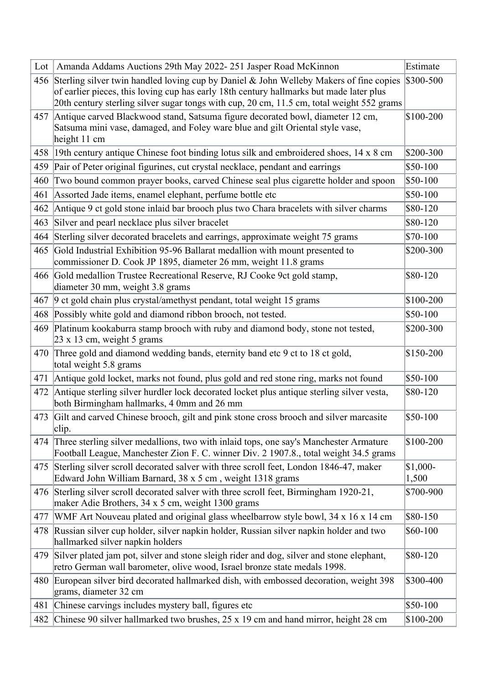| Lot | Amanda Addams Auctions 29th May 2022-251 Jasper Road McKinnon                                                                                                         | Estimate           |
|-----|-----------------------------------------------------------------------------------------------------------------------------------------------------------------------|--------------------|
|     | 456 Sterling silver twin handled loving cup by Daniel & John Welleby Makers of fine copies                                                                            | \$300-500          |
|     | of earlier pieces, this loving cup has early 18th century hallmarks but made later plus                                                                               |                    |
|     | 20th century sterling silver sugar tongs with cup, 20 cm, 11.5 cm, total weight 552 grams                                                                             |                    |
|     | 457 Antique carved Blackwood stand, Satsuma figure decorated bowl, diameter 12 cm,<br>Satsuma mini vase, damaged, and Foley ware blue and gilt Oriental style vase,   | \$100-200          |
|     | height 11 cm                                                                                                                                                          |                    |
|     | 458 19th century antique Chinese foot binding lotus silk and embroidered shoes, 14 x 8 cm                                                                             | \$200-300          |
| 459 | Pair of Peter original figurines, cut crystal necklace, pendant and earrings                                                                                          | \$50-100           |
| 460 | Two bound common prayer books, carved Chinese seal plus cigarette holder and spoon                                                                                    | \$50-100           |
| 461 | Assorted Jade items, enamel elephant, perfume bottle etc                                                                                                              | \$50-100           |
| 462 | Antique 9 ct gold stone inlaid bar brooch plus two Chara bracelets with silver charms                                                                                 | \$80-120           |
| 463 | Silver and pearl necklace plus silver bracelet                                                                                                                        | \$80-120           |
| 464 | Sterling silver decorated bracelets and earrings, approximate weight 75 grams                                                                                         | \$70-100           |
| 465 | Gold Industrial Exhibition 95-96 Ballarat medallion with mount presented to                                                                                           | \$200-300          |
|     | commissioner D. Cook JP 1895, diameter 26 mm, weight 11.8 grams                                                                                                       |                    |
|     | 466 Gold medallion Trustee Recreational Reserve, RJ Cooke 9ct gold stamp,<br>diameter 30 mm, weight 3.8 grams                                                         | \$80-120           |
| 467 | 9 et gold chain plus crystal/amethyst pendant, total weight 15 grams                                                                                                  | \$100-200          |
| 468 | Possibly white gold and diamond ribbon brooch, not tested.                                                                                                            | \$50-100           |
| 469 | Platinum kookaburra stamp brooch with ruby and diamond body, stone not tested,                                                                                        | \$200-300          |
|     | 23 x 13 cm, weight 5 grams                                                                                                                                            |                    |
|     | 470 Three gold and diamond wedding bands, eternity band etc 9 ct to 18 ct gold,                                                                                       | \$150-200          |
|     | total weight 5.8 grams                                                                                                                                                |                    |
|     | 471 Antique gold locket, marks not found, plus gold and red stone ring, marks not found                                                                               | \$50-100           |
| 472 | Antique sterling silver hurdler lock decorated locket plus antique sterling silver vesta,<br>both Birmingham hallmarks, 4 0mm and 26 mm                               | \$80-120           |
|     | 473 Gilt and carved Chinese brooch, gilt and pink stone cross brooch and silver marcasite<br>clip.                                                                    | \$50-100           |
|     | 474 Three sterling silver medallions, two with inlaid tops, one say's Manchester Armature                                                                             | \$100-200          |
|     | Football League, Manchester Zion F. C. winner Div. 2 1907.8., total weight 34.5 grams                                                                                 |                    |
| 475 | Sterling silver scroll decorated salver with three scroll feet, London 1846-47, maker<br>Edward John William Barnard, 38 x 5 cm, weight 1318 grams                    | $$1,000-$<br>1,500 |
|     | 476 Sterling silver scroll decorated salver with three scroll feet, Birmingham 1920-21,                                                                               | \$700-900          |
|     | maker Adie Brothers, 34 x 5 cm, weight 1300 grams                                                                                                                     |                    |
| 477 | WMF Art Nouveau plated and original glass wheelbarrow style bowl, 34 x 16 x 14 cm                                                                                     | $$80-150$          |
| 478 | Russian silver cup holder, silver napkin holder, Russian silver napkin holder and two<br>hallmarked silver napkin holders                                             | \$60-100           |
| 479 | Silver plated jam pot, silver and stone sleigh rider and dog, silver and stone elephant,<br>retro German wall barometer, olive wood, Israel bronze state medals 1998. | \$80-120           |
| 480 | European silver bird decorated hallmarked dish, with embossed decoration, weight 398<br>grams, diameter 32 cm                                                         | \$300-400          |
| 481 | Chinese carvings includes mystery ball, figures etc                                                                                                                   | \$50-100           |
| 482 | Chinese 90 silver hallmarked two brushes, 25 x 19 cm and hand mirror, height 28 cm                                                                                    | \$100-200          |